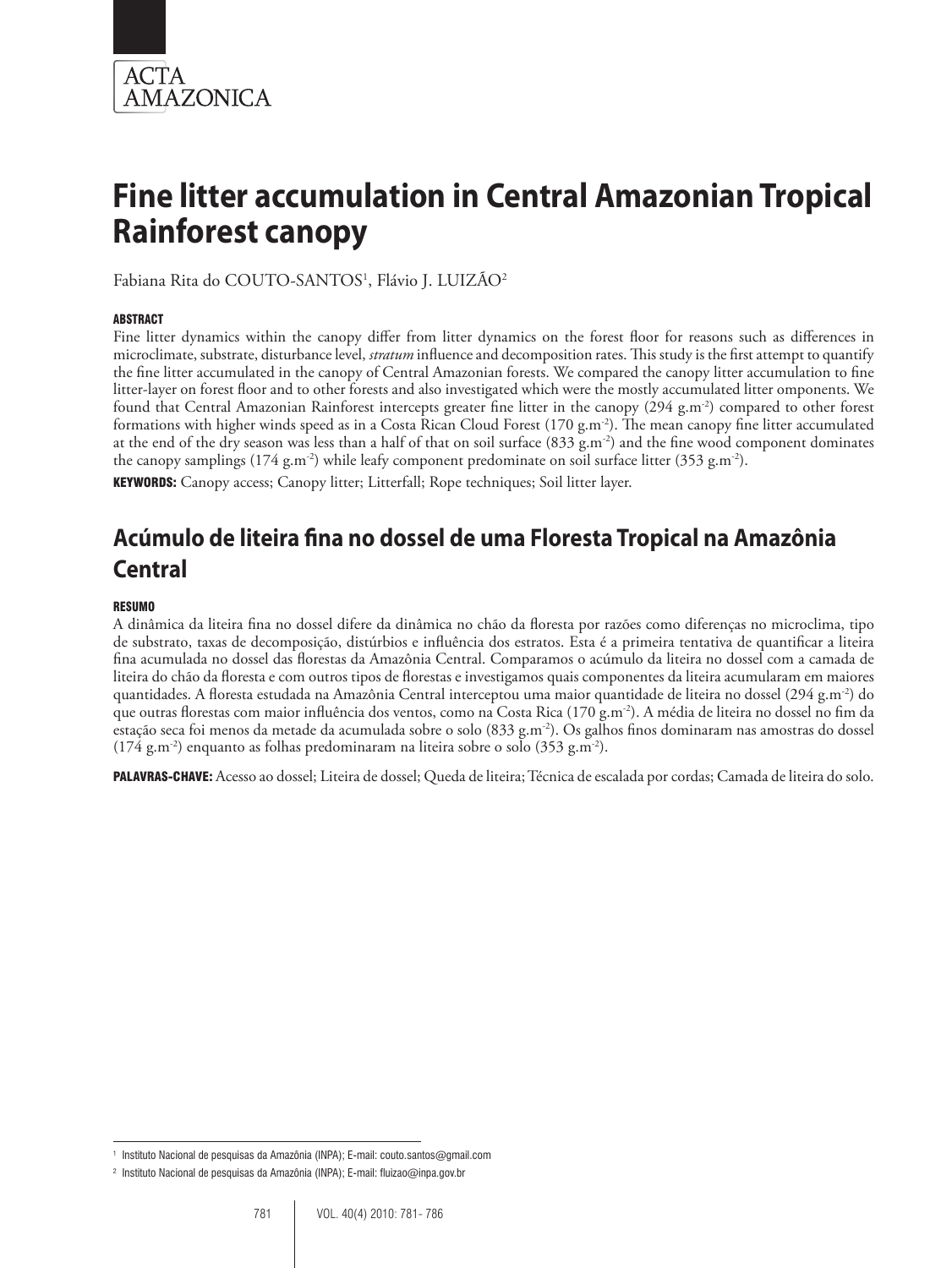

# **Fine litter accumulation in Central Amazonian Tropical Rainforest canopy**

Fabiana Rita do COUTO-SANTOS<sup>1</sup>, Flávio J. LUIZÃO<sup>2</sup>

#### **ABSTRACT**

Fine litter dynamics within the canopy differ from litter dynamics on the forest floor for reasons such as differences in microclimate, substrate, disturbance level, *stratum* influence and decomposition rates. This study is the first attempt to quantify the fine litter accumulated in the canopy of Central Amazonian forests. We compared the canopy litter accumulation to fine litter-layer on forest floor and to other forests and also investigated which were the mostly accumulated litter omponents. We found that Central Amazonian Rainforest intercepts greater fine litter in the canopy (294 g.m-2) compared to other forest formations with higher winds speed as in a Costa Rican Cloud Forest  $(170 \text{ g.m}^2)$ . The mean canopy fine litter accumulated at the end of the dry season was less than a half of that on soil surface  $(833 \text{ g.m}^{-2})$  and the fine wood component dominates the canopy samplings  $(174 \text{ g.m}^{-2})$  while leafy component predominate on soil surface litter  $(353 \text{ g.m}^{-2})$ .

KEYWORDS: Canopy access; Canopy litter; Litterfall; Rope techniques; Soil litter layer.

## **Acúmulo de liteira fina no dossel de uma Floresta Tropical na Amazônia Central**

#### RESUMO

A dinâmica da liteira fina no dossel difere da dinâmica no chão da floresta por razões como diferenças no microclima, tipo de substrato, taxas de decomposição, distúrbios e influência dos estratos. Esta é a primeira tentativa de quantificar a liteira fina acumulada no dossel das florestas da Amazônia Central. Comparamos o acúmulo da liteira no dossel com a camada de liteira do chão da floresta e com outros tipos de florestas e investigamos quais componentes da liteira acumularam em maiores quantidades. A floresta estudada na Amazônia Central interceptou uma maior quantidade de liteira no dossel (294 g.m-2) do que outras florestas com maior influência dos ventos, como na Costa Rica (170 g.m<sup>-2</sup>). A média de liteira no dossel no fim da estação seca foi menos da metade da acumulada sobre o solo (833 g.m<sup>-2</sup>). Os galhos finos dominaram nas amostras do dossel  $(174 \text{ g.m}^{-2})$  enquanto as folhas predominaram na liteira sobre o solo  $(353 \text{ g.m}^{-2})$ .

PALAVRAS-CHAVE: Acesso ao dossel; Liteira de dossel; Queda de liteira; Técnica de escalada por cordas; Camada de liteira do solo.

<sup>1</sup> Instituto Nacional de pesquisas da Amazônia (INPA); E-mail: couto.santos@gmail.com

<sup>2</sup> Instituto Nacional de pesquisas da Amazônia (INPA); E-mail: fluizao@inpa.gov.br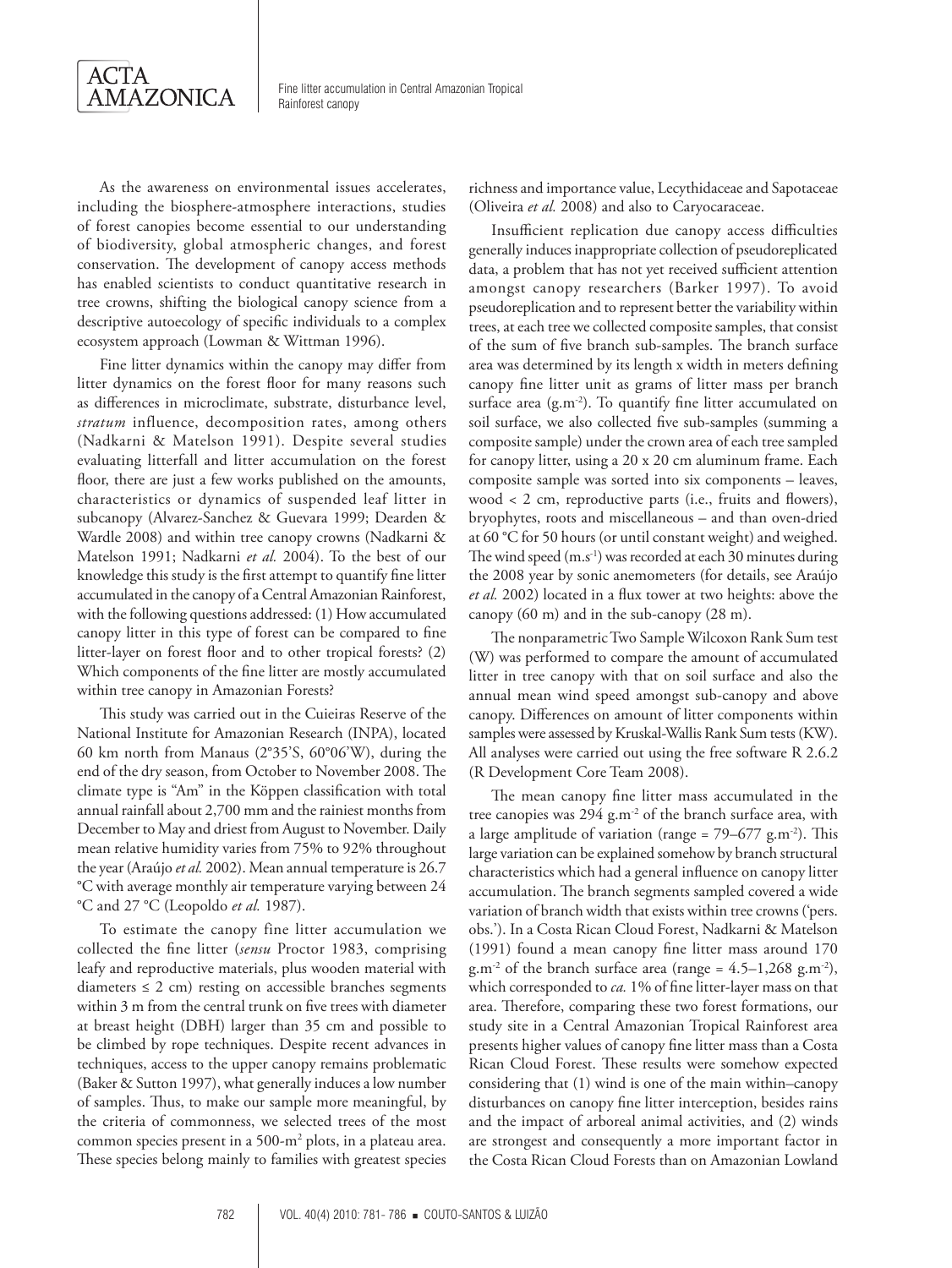

As the awareness on environmental issues accelerates, including the biosphere-atmosphere interactions, studies of forest canopies become essential to our understanding of biodiversity, global atmospheric changes, and forest conservation. The development of canopy access methods has enabled scientists to conduct quantitative research in tree crowns, shifting the biological canopy science from a descriptive autoecology of specific individuals to a complex ecosystem approach (Lowman & Wittman 1996).

Fine litter dynamics within the canopy may differ from litter dynamics on the forest floor for many reasons such as differences in microclimate, substrate, disturbance level, *stratum* influence, decomposition rates, among others (Nadkarni & Matelson 1991). Despite several studies evaluating litterfall and litter accumulation on the forest floor, there are just a few works published on the amounts, characteristics or dynamics of suspended leaf litter in subcanopy (Alvarez-Sanchez & Guevara 1999; Dearden & Wardle 2008) and within tree canopy crowns (Nadkarni & Matelson 1991; Nadkarni *et al.* 2004). To the best of our knowledge this study is the first attempt to quantify fine litter accumulated in the canopy of a Central Amazonian Rainforest, with the following questions addressed: (1) How accumulated canopy litter in this type of forest can be compared to fine litter-layer on forest floor and to other tropical forests? (2) Which components of the fine litter are mostly accumulated within tree canopy in Amazonian Forests?

This study was carried out in the Cuieiras Reserve of the National Institute for Amazonian Research (INPA), located 60 km north from Manaus (2°35'S, 60°06'W), during the end of the dry season, from October to November 2008. The climate type is "Am" in the Köppen classification with total annual rainfall about 2,700 mm and the rainiest months from December to May and driest from August to November. Daily mean relative humidity varies from 75% to 92% throughout the year (Araújo *et al.* 2002). Mean annual temperature is 26.7 °C with average monthly air temperature varying between 24 °C and 27 °C (Leopoldo *et al.* 1987).

To estimate the canopy fine litter accumulation we collected the fine litter (*sensu* Proctor 1983, comprising leafy and reproductive materials, plus wooden material with diameters  $\leq 2$  cm) resting on accessible branches segments within 3 m from the central trunk on five trees with diameter at breast height (DBH) larger than 35 cm and possible to be climbed by rope techniques. Despite recent advances in techniques, access to the upper canopy remains problematic (Baker & Sutton 1997), what generally induces a low number of samples. Thus, to make our sample more meaningful, by the criteria of commonness, we selected trees of the most common species present in a 500-m<sup>2</sup> plots, in a plateau area. These species belong mainly to families with greatest species

richness and importance value, Lecythidaceae and Sapotaceae (Oliveira *et al.* 2008) and also to Caryocaraceae.

Insufficient replication due canopy access difficulties generally induces inappropriate collection of pseudoreplicated data, a problem that has not yet received sufficient attention amongst canopy researchers (Barker 1997). To avoid pseudoreplication and to represent better the variability within trees, at each tree we collected composite samples, that consist of the sum of five branch sub-samples. The branch surface area was determined by its length x width in meters defining canopy fine litter unit as grams of litter mass per branch surface area  $(g.m^{-2})$ . To quantify fine litter accumulated on soil surface, we also collected five sub-samples (summing a composite sample) under the crown area of each tree sampled for canopy litter, using a 20 x 20 cm aluminum frame. Each composite sample was sorted into six components – leaves, wood < 2 cm, reproductive parts (i.e., fruits and flowers), bryophytes, roots and miscellaneous – and than oven-dried at 60 °C for 50 hours (or until constant weight) and weighed. The wind speed  $(m.s^{-1})$  was recorded at each 30 minutes during the 2008 year by sonic anemometers (for details, see Araújo *et al.* 2002) located in a flux tower at two heights: above the canopy (60 m) and in the sub-canopy (28 m).

The nonparametric Two Sample Wilcoxon Rank Sum test (W) was performed to compare the amount of accumulated litter in tree canopy with that on soil surface and also the annual mean wind speed amongst sub-canopy and above canopy. Differences on amount of litter components within samples were assessed by Kruskal-Wallis Rank Sum tests (KW). All analyses were carried out using the free software R 2.6.2 (R Development Core Team 2008).

The mean canopy fine litter mass accumulated in the tree canopies was 294 g.m<sup>-2</sup> of the branch surface area, with a large amplitude of variation (range =  $79-677$  g.m<sup>-2</sup>). This large variation can be explained somehow by branch structural characteristics which had a general influence on canopy litter accumulation. The branch segments sampled covered a wide variation of branch width that exists within tree crowns ('pers. obs.'). In a Costa Rican Cloud Forest, Nadkarni & Matelson (1991) found a mean canopy fine litter mass around 170  $g.m^{-2}$  of the branch surface area (range = 4.5–1,268 g.m<sup>-2</sup>), which corresponded to *ca.* 1% of fine litter-layer mass on that area. Therefore, comparing these two forest formations, our study site in a Central Amazonian Tropical Rainforest area presents higher values of canopy fine litter mass than a Costa Rican Cloud Forest. These results were somehow expected considering that (1) wind is one of the main within–canopy disturbances on canopy fine litter interception, besides rains and the impact of arboreal animal activities, and (2) winds are strongest and consequently a more important factor in the Costa Rican Cloud Forests than on Amazonian Lowland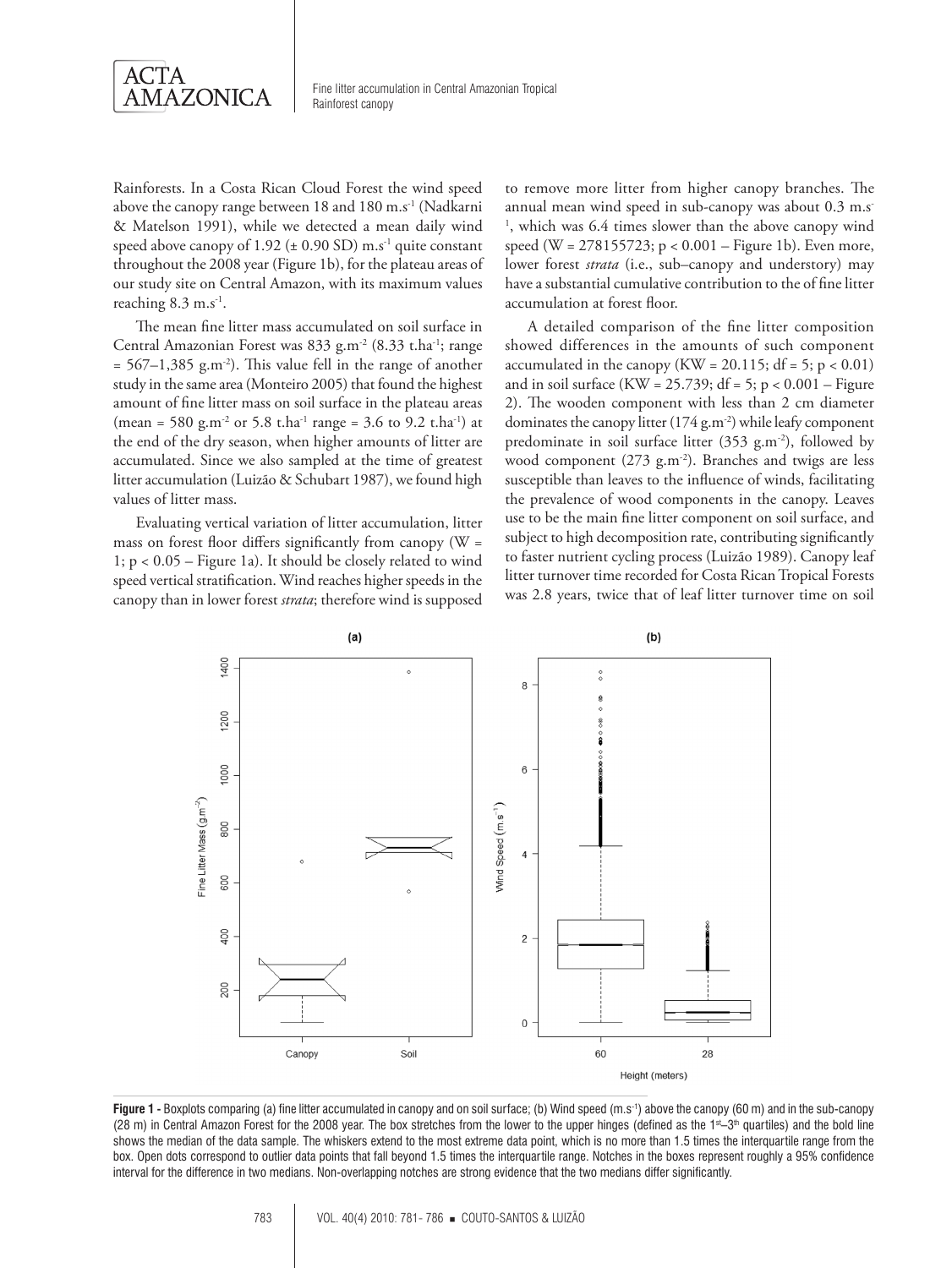

Rainforests. In a Costa Rican Cloud Forest the wind speed above the canopy range between 18 and 180 m.s<sup>-1</sup> (Nadkarni & Matelson 1991), while we detected a mean daily wind speed above canopy of 1.92 ( $\pm$  0.90 SD) m.s<sup>-1</sup> quite constant throughout the 2008 year (Figure 1b), for the plateau areas of our study site on Central Amazon, with its maximum values reaching 8.3 m.s<sup>-1</sup>.

The mean fine litter mass accumulated on soil surface in Central Amazonian Forest was 833 g.m-2 (8.33 t.ha-1; range  $= 567-1,385$  g.m<sup>-2</sup>). This value fell in the range of another study in the same area (Monteiro 2005) that found the highest amount of fine litter mass on soil surface in the plateau areas (mean = 580 g.m<sup>-2</sup> or 5.8 t.ha<sup>-1</sup> range = 3.6 to 9.2 t.ha<sup>-1</sup>) at the end of the dry season, when higher amounts of litter are accumulated. Since we also sampled at the time of greatest litter accumulation (Luizão & Schubart 1987), we found high values of litter mass.

Evaluating vertical variation of litter accumulation, litter mass on forest floor differs significantly from canopy (W = 1; p < 0.05 – Figure 1a). It should be closely related to wind speed vertical stratification. Wind reaches higher speeds in the canopy than in lower forest *strata*; therefore wind is supposed

to remove more litter from higher canopy branches. The annual mean wind speed in sub-canopy was about 0.3 m.s<sup>-</sup> 1 , which was 6.4 times slower than the above canopy wind speed (W = 278155723; p < 0.001 – Figure 1b). Even more, lower forest *strata* (i.e., sub–canopy and understory) may have a substantial cumulative contribution to the of fine litter accumulation at forest floor.

A detailed comparison of the fine litter composition showed differences in the amounts of such component accumulated in the canopy (KW = 20.115;  $df = 5$ ;  $p < 0.01$ ) and in soil surface (KW =  $25.739$ ; df =  $5$ ; p <  $0.001$  – Figure 2). The wooden component with less than 2 cm diameter dominates the canopy litter (174 g.m<sup>-2</sup>) while leafy component predominate in soil surface litter (353 g.m<sup>-2</sup>), followed by wood component (273 g.m<sup>-2</sup>). Branches and twigs are less susceptible than leaves to the influence of winds, facilitating the prevalence of wood components in the canopy. Leaves use to be the main fine litter component on soil surface, and subject to high decomposition rate, contributing significantly to faster nutrient cycling process (Luizão 1989). Canopy leaf litter turnover time recorded for Costa Rican Tropical Forests was 2.8 years, twice that of leaf litter turnover time on soil



Figure 1 - Boxplots comparing (a) fine litter accumulated in canopy and on soil surface; (b) Wind speed (m.s<sup>-1</sup>) above the canopy (60 m) and in the sub-canopy (28 m) in Central Amazon Forest for the 2008 year. The box stretches from the lower to the upper hinges (defined as the 1s-3<sup>th</sup> quartiles) and the bold line shows the median of the data sample. The whiskers extend to the most extreme data point, which is no more than 1.5 times the interquartile range from the box. Open dots correspond to outlier data points that fall beyond 1.5 times the interquartile range. Notches in the boxes represent roughly a 95% confidence interval for the difference in two medians. Non-overlapping notches are strong evidence that the two medians differ significantly.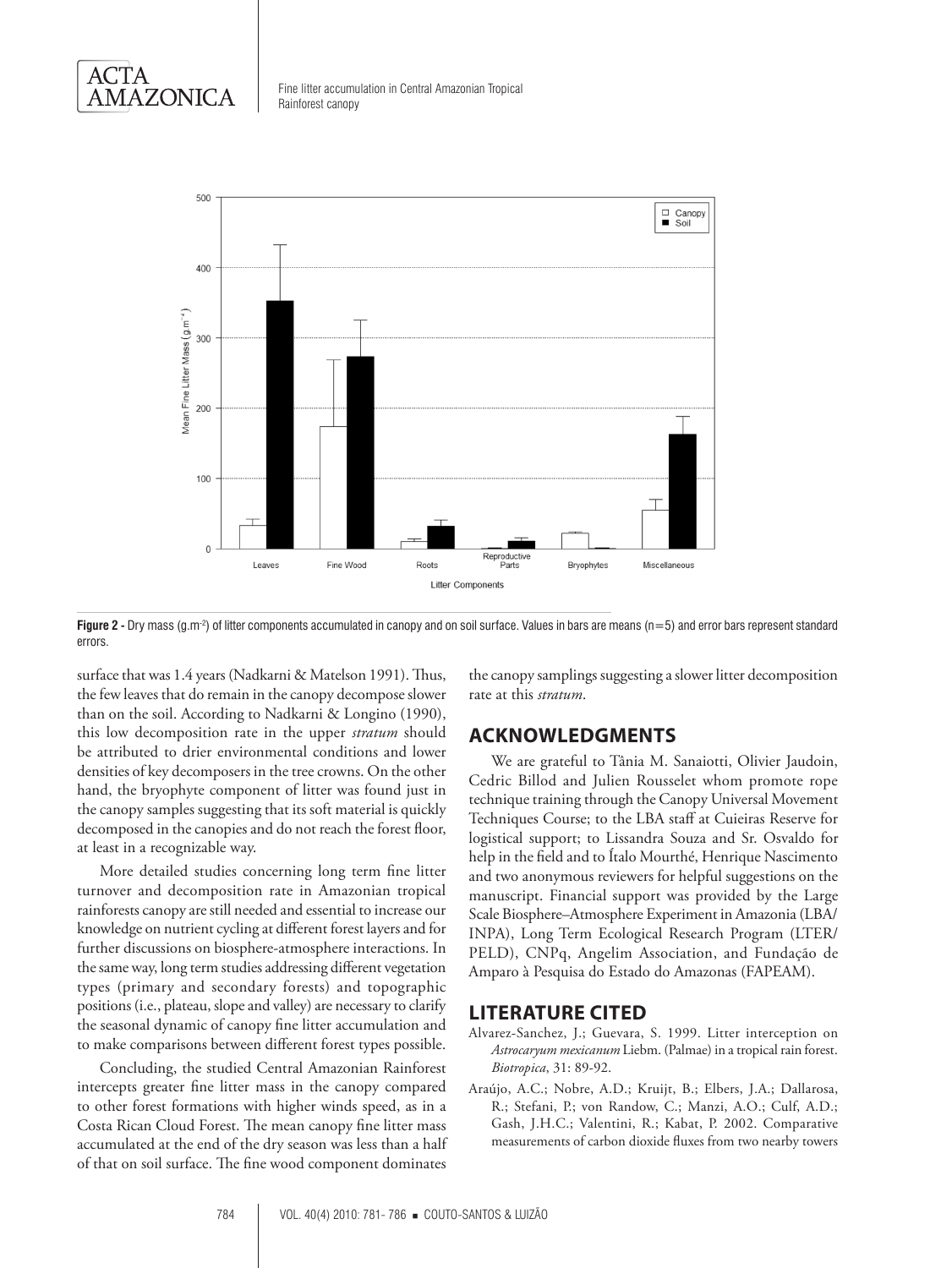

Fine litter accumulation in Central Amazonian Tropical Rainforest canopy



**Figure 2** - Dry mass (g.m<sup>-2</sup>) of litter components accumulated in canopy and on soil surface. Values in bars are means (n=5) and error bars represent standard errors.

surface that was 1.4 years (Nadkarni & Matelson 1991). Thus, the few leaves that do remain in the canopy decompose slower than on the soil. According to Nadkarni & Longino (1990), this low decomposition rate in the upper *stratum* should be attributed to drier environmental conditions and lower densities of key decomposers in the tree crowns. On the other hand, the bryophyte component of litter was found just in the canopy samples suggesting that its soft material is quickly decomposed in the canopies and do not reach the forest floor, at least in a recognizable way.

More detailed studies concerning long term fine litter turnover and decomposition rate in Amazonian tropical rainforests canopy are still needed and essential to increase our knowledge on nutrient cycling at different forest layers and for further discussions on biosphere-atmosphere interactions. In the same way, long term studies addressing different vegetation types (primary and secondary forests) and topographic positions (i.e., plateau, slope and valley) are necessary to clarify the seasonal dynamic of canopy fine litter accumulation and to make comparisons between different forest types possible.

Concluding, the studied Central Amazonian Rainforest intercepts greater fine litter mass in the canopy compared to other forest formations with higher winds speed, as in a Costa Rican Cloud Forest. The mean canopy fine litter mass accumulated at the end of the dry season was less than a half of that on soil surface. The fine wood component dominates

the canopy samplings suggesting a slower litter decomposition rate at this *stratum*.

### **ACKNOWLEDGMENTS**

We are grateful to Tânia M. Sanaiotti, Olivier Jaudoin, Cedric Billod and Julien Rousselet whom promote rope technique training through the Canopy Universal Movement Techniques Course; to the LBA staff at Cuieiras Reserve for logistical support; to Lissandra Souza and Sr. Osvaldo for help in the field and to Ítalo Mourthé, Henrique Nascimento and two anonymous reviewers for helpful suggestions on the manuscript. Financial support was provided by the Large Scale Biosphere–Atmosphere Experiment in Amazonia (LBA/ INPA), Long Term Ecological Research Program (LTER/ PELD), CNPq, Angelim Association, and Fundação de Amparo à Pesquisa do Estado do Amazonas (FAPEAM).

#### **LITERATURE CITED**

- Alvarez-Sanchez, J.; Guevara, S. 1999. Litter interception on *Astrocaryum mexicanum* Liebm. (Palmae) in a tropical rain forest. *Biotropica*, 31: 89-92.
- Araújo, A.C.; Nobre, A.D.; Kruijt, B.; Elbers, J.A.; Dallarosa, R.; Stefani, P.; von Randow, C.; Manzi, A.O.; Culf, A.D.; Gash, J.H.C.; Valentini, R.; Kabat, P. 2002. Comparative measurements of carbon dioxide fluxes from two nearby towers